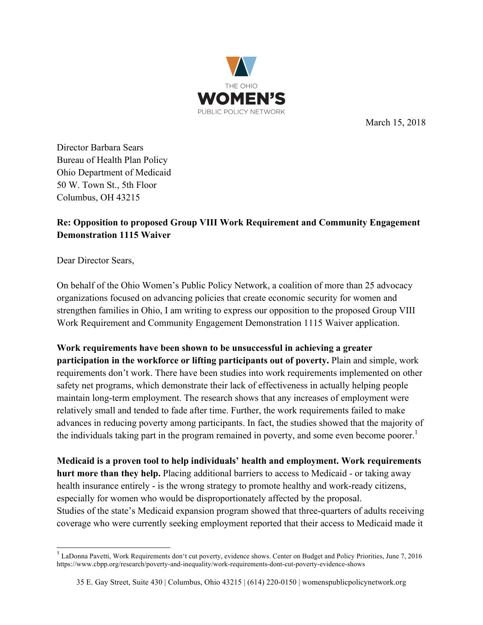

March 15, 2018

Director Barbara Sears Bureau of Health Plan Policy Ohio Department of Medicaid 50 W. Town St., 5th Floor Columbus, OH 43215

## **Re: Opposition to proposed Group VIII Work Requirement and Community Engagement Demonstration 1115 Waiver**

Dear Director Sears,

On behalf of the Ohio Women's Public Policy Network, a coalition of more than 25 advocacy organizations focused on advancing policies that create economic security for women and strengthen families in Ohio, I am writing to express our opposition to the proposed Group VIII Work Requirement and Community Engagement Demonstration 1115 Waiver application.

**Work requirements have been shown to be unsuccessful in achieving a greater participation in the workforce or lifting participants out of poverty.** Plain and simple, work requirements don't work. There have been studies into work requirements implemented on other safety net programs, which demonstrate their lack of effectiveness in actually helping people maintain long-term employment. The research shows that any increases of employment were relatively small and tended to fade after time. Further, the work requirements failed to make advances in reducing poverty among participants. In fact, the studies showed that the majority of the individuals taking part in the program remained in poverty, and some even become poorer.<sup>1</sup>

**Medicaid is a proven tool to help individuals' health and employment. Work requirements hurt more than they help.** Placing additional barriers to access to Medicaid - or taking away health insurance entirely - is the wrong strategy to promote healthy and work-ready citizens, especially for women who would be disproportionately affected by the proposal. Studies of the state's Medicaid expansion program showed that three-quarters of adults receiving coverage who were currently seeking employment reported that their access to Medicaid made it

 <sup>1</sup> LaDonna Pavetti, Work Requirements don't cut poverty, evidence shows. Center on Budget and Policy Priorities, June 7, 2016 https://www.cbpp.org/research/poverty-and-inequality/work-requirements-dont-cut-poverty-evidence-shows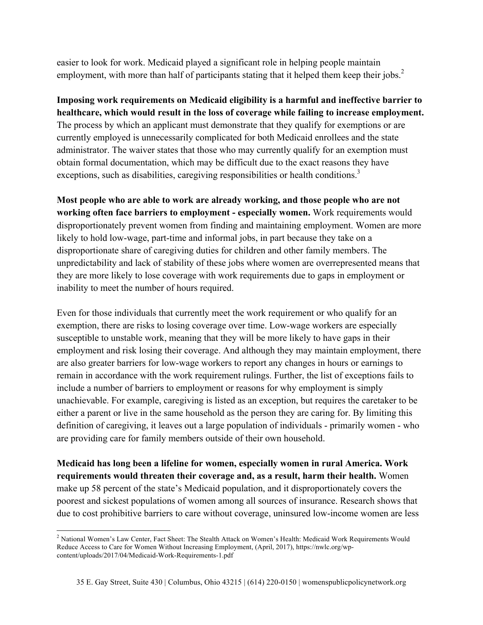easier to look for work. Medicaid played a significant role in helping people maintain employment, with more than half of participants stating that it helped them keep their jobs.<sup>2</sup>

**Imposing work requirements on Medicaid eligibility is a harmful and ineffective barrier to healthcare, which would result in the loss of coverage while failing to increase employment.**  The process by which an applicant must demonstrate that they qualify for exemptions or are currently employed is unnecessarily complicated for both Medicaid enrollees and the state administrator. The waiver states that those who may currently qualify for an exemption must obtain formal documentation, which may be difficult due to the exact reasons they have exceptions, such as disabilities, caregiving responsibilities or health conditions.<sup>3</sup>

**Most people who are able to work are already working, and those people who are not working often face barriers to employment - especially women.** Work requirements would disproportionately prevent women from finding and maintaining employment. Women are more likely to hold low-wage, part-time and informal jobs, in part because they take on a disproportionate share of caregiving duties for children and other family members. The unpredictability and lack of stability of these jobs where women are overrepresented means that they are more likely to lose coverage with work requirements due to gaps in employment or inability to meet the number of hours required.

Even for those individuals that currently meet the work requirement or who qualify for an exemption, there are risks to losing coverage over time. Low-wage workers are especially susceptible to unstable work, meaning that they will be more likely to have gaps in their employment and risk losing their coverage. And although they may maintain employment, there are also greater barriers for low-wage workers to report any changes in hours or earnings to remain in accordance with the work requirement rulings. Further, the list of exceptions fails to include a number of barriers to employment or reasons for why employment is simply unachievable. For example, caregiving is listed as an exception, but requires the caretaker to be either a parent or live in the same household as the person they are caring for. By limiting this definition of caregiving, it leaves out a large population of individuals - primarily women - who are providing care for family members outside of their own household.

**Medicaid has long been a lifeline for women, especially women in rural America. Work requirements would threaten their coverage and, as a result, harm their health.** Women make up 58 percent of the state's Medicaid population, and it disproportionately covers the poorest and sickest populations of women among all sources of insurance. Research shows that due to cost prohibitive barriers to care without coverage, uninsured low-income women are less

<sup>&</sup>lt;sup>2</sup> National Women's Law Center, Fact Sheet: The Stealth Attack on Women's Health: Medicaid Work Requirements Would Reduce Access to Care for Women Without Increasing Employment, (April, 2017), https://nwlc.org/wpcontent/uploads/2017/04/Medicaid-Work-Requirements-1.pdf